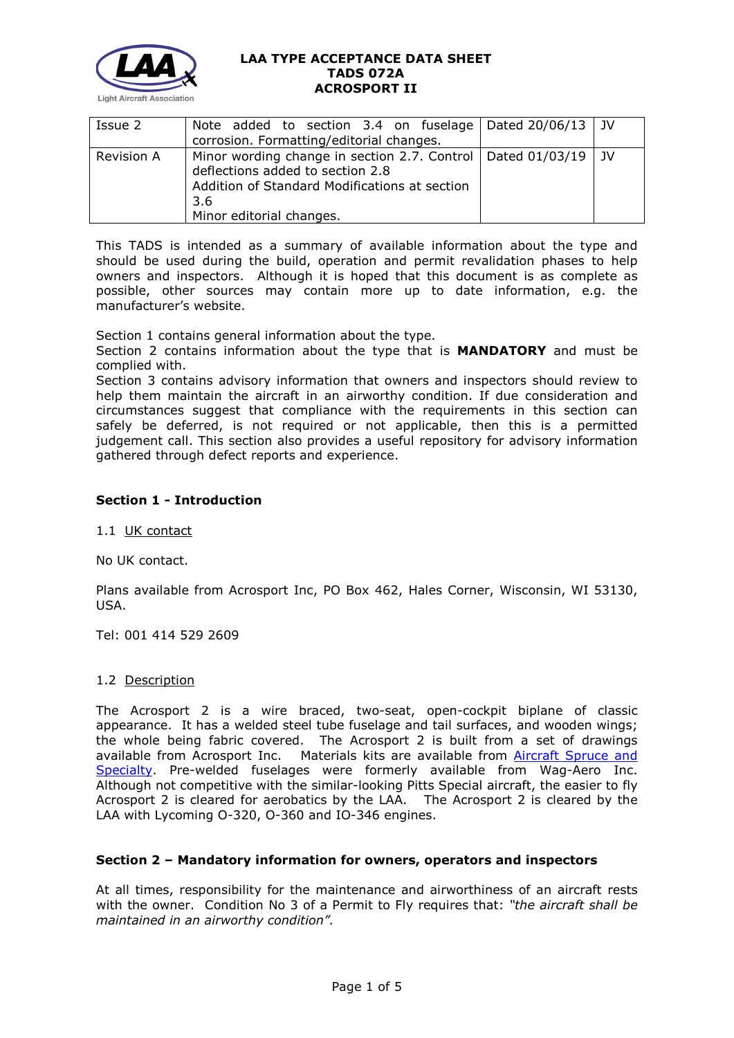

| Issue 2    | Note added to section 3.4 on fuselage Dated $20/06/13$ JV<br>corrosion. Formatting/editorial changes.                                                                                      |  |
|------------|--------------------------------------------------------------------------------------------------------------------------------------------------------------------------------------------|--|
| Revision A | Minor wording change in section 2.7. Control   Dated 01/03/19   JV<br>deflections added to section 2.8<br>Addition of Standard Modifications at section<br>3.6<br>Minor editorial changes. |  |

This TADS is intended as a summary of available information about the type and should be used during the build, operation and permit revalidation phases to help owners and inspectors. Although it is hoped that this document is as complete as possible, other sources may contain more up to date information, e.g. the manufacturer's website.

Section 1 contains general information about the type.

Section 2 contains information about the type that is **MANDATORY** and must be complied with.

Section 3 contains advisory information that owners and inspectors should review to help them maintain the aircraft in an airworthy condition. If due consideration and circumstances suggest that compliance with the requirements in this section can safely be deferred, is not required or not applicable, then this is a permitted judgement call. This section also provides a useful repository for advisory information gathered through defect reports and experience.

# **Section 1 - Introduction**

1.1 UK contact

No UK contact.

Plans available from Acrosport Inc, PO Box 462, Hales Corner, Wisconsin, WI 53130, USA.

Tel: 001 414 529 2609

#### 1.2 Description

The Acrosport 2 is a wire braced, two-seat, open-cockpit biplane of classic appearance. It has a welded steel tube fuselage and tail surfaces, and wooden wings; the whole being fabric covered. The Acrosport 2 is built from a set of drawings available from Acrosport Inc. Materials kits are available from Aircraft Spruce and [Specialty.](http://www.aircraftspruce.com/categories/building_materials/bm/menus/kits/acrosport.html) Pre-welded fuselages were formerly available from Wag-Aero Inc. Although not competitive with the similar-looking Pitts Special aircraft, the easier to fly Acrosport 2 is cleared for aerobatics by the LAA. The Acrosport 2 is cleared by the LAA with Lycoming O-320, O-360 and IO-346 engines.

## **Section 2 – Mandatory information for owners, operators and inspectors**

At all times, responsibility for the maintenance and airworthiness of an aircraft rests with the owner. Condition No 3 of a Permit to Fly requires that: *"the aircraft shall be maintained in an airworthy condition".*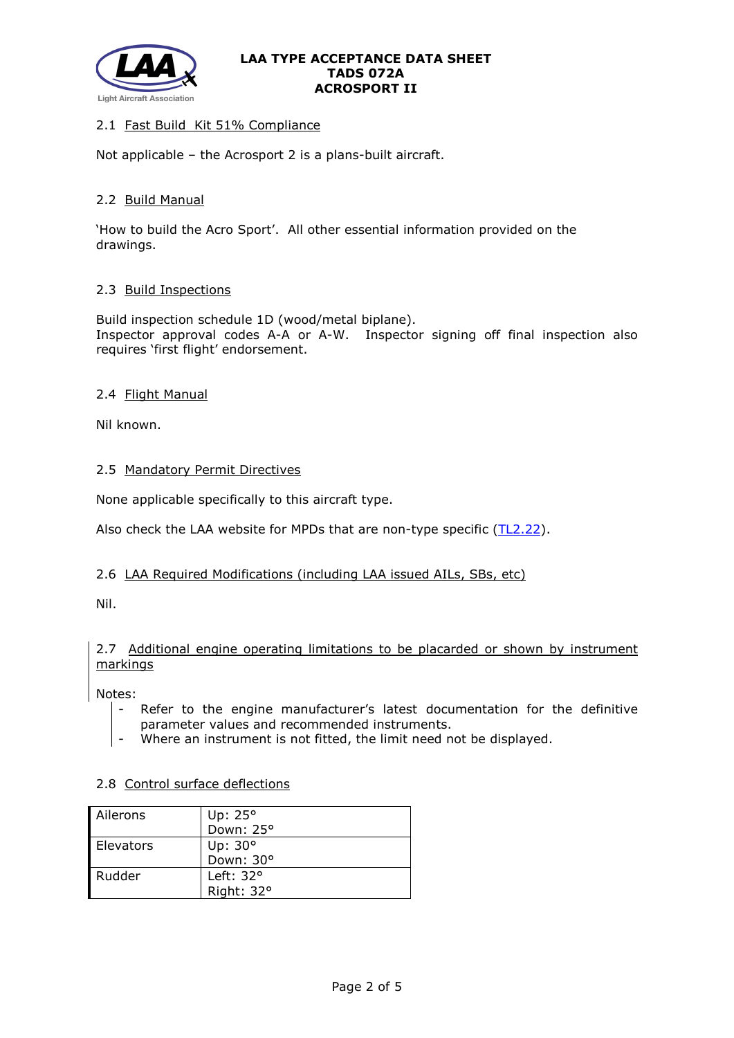

# 2.1 Fast Build Kit 51% Compliance

Not applicable – the Acrosport 2 is a plans-built aircraft.

## 2.2 Build Manual

'How to build the Acro Sport'. All other essential information provided on the drawings.

## 2.3 Build Inspections

Build inspection schedule 1D (wood/metal biplane). Inspector approval codes A-A or A-W. Inspector signing off final inspection also requires 'first flight' endorsement.

## 2.4 Flight Manual

Nil known.

## 2.5 Mandatory Permit Directives

None applicable specifically to this aircraft type.

Also check the LAA website for MPDs that are non-type specific [\(TL2.22\)](http://www.lightaircraftassociation.co.uk/engineering/TechnicalLeaflets/Operating%20An%20Aircraft/TL%202.22%20non-type%20specific%20MPDs.pdf).

## 2.6 LAA Required Modifications (including LAA issued AILs, SBs, etc)

Nil.

## 2.7 Additional engine operating limitations to be placarded or shown by instrument markings

Notes:

- Refer to the engine manufacturer's latest documentation for the definitive parameter values and recommended instruments.
- Where an instrument is not fitted, the limit need not be displayed.

## 2.8 Control surface deflections

| Ailerons  | Up: $25^\circ$   |
|-----------|------------------|
|           | Down: 25°        |
| Elevators | Up: $30^\circ$   |
|           | Down: 30°        |
| Rudder    | Left: $32^\circ$ |
|           | Right: 32°       |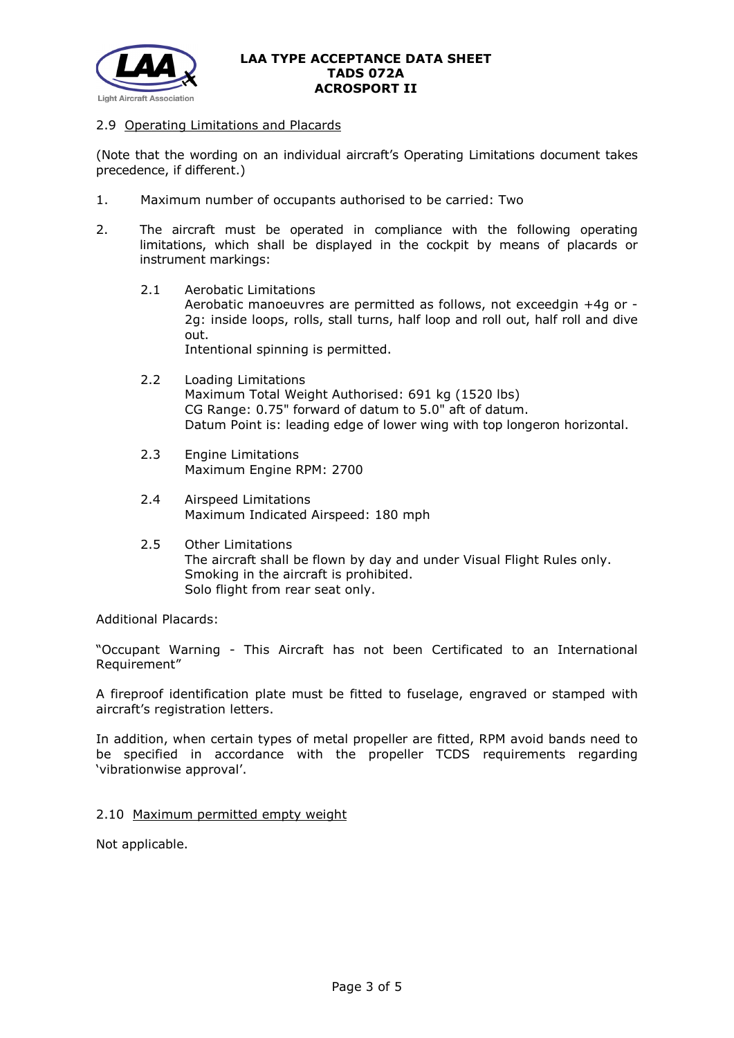

## 2.9 Operating Limitations and Placards

(Note that the wording on an individual aircraft's Operating Limitations document takes precedence, if different.)

- 1. Maximum number of occupants authorised to be carried: Two
- 2. The aircraft must be operated in compliance with the following operating limitations, which shall be displayed in the cockpit by means of placards or instrument markings:
	- 2.1 Aerobatic Limitations Aerobatic manoeuvres are permitted as follows, not exceedgin +4g or - 2g: inside loops, rolls, stall turns, half loop and roll out, half roll and dive out. Intentional spinning is permitted.
	- 2.2 Loading Limitations Maximum Total Weight Authorised: 691 kg (1520 lbs) CG Range: 0.75" forward of datum to 5.0" aft of datum. Datum Point is: leading edge of lower wing with top longeron horizontal.
	- 2.3 Engine Limitations Maximum Engine RPM: 2700
	- 2.4 Airspeed Limitations Maximum Indicated Airspeed: 180 mph
	- 2.5 Other Limitations The aircraft shall be flown by day and under Visual Flight Rules only. Smoking in the aircraft is prohibited. Solo flight from rear seat only.

Additional Placards:

"Occupant Warning - This Aircraft has not been Certificated to an International Requirement"

A fireproof identification plate must be fitted to fuselage, engraved or stamped with aircraft's registration letters.

In addition, when certain types of metal propeller are fitted, RPM avoid bands need to be specified in accordance with the propeller TCDS requirements regarding 'vibrationwise approval'.

## 2.10 Maximum permitted empty weight

Not applicable.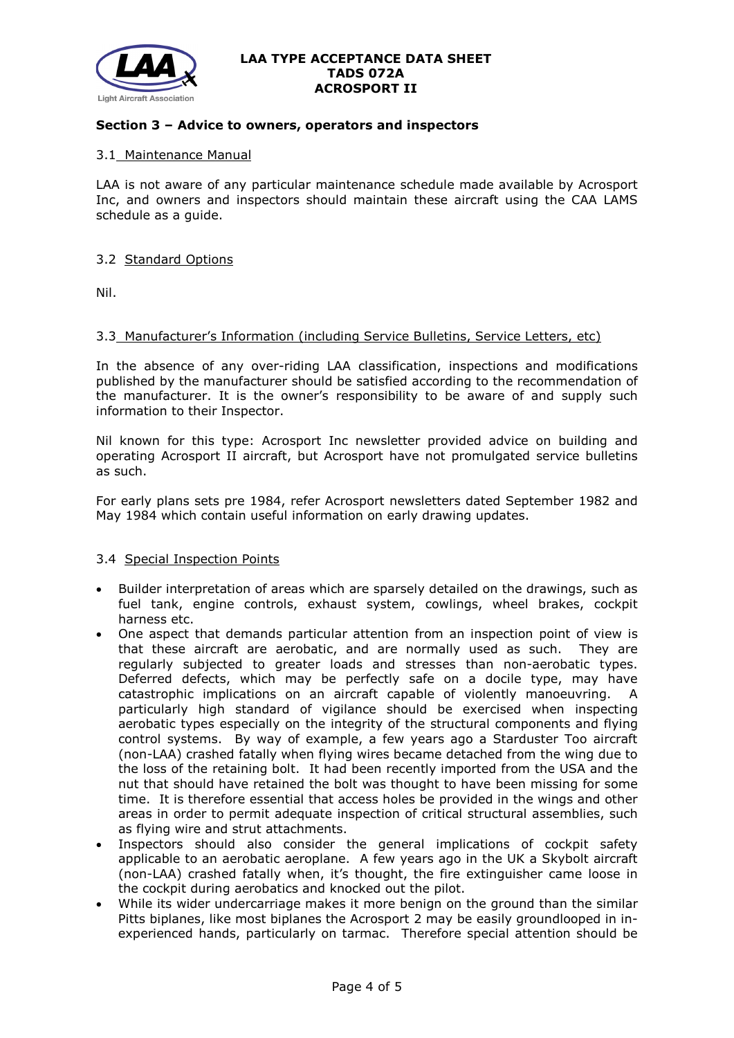

## **Section 3 – Advice to owners, operators and inspectors**

## 3.1 Maintenance Manual

LAA is not aware of any particular maintenance schedule made available by Acrosport Inc, and owners and inspectors should maintain these aircraft using the CAA LAMS schedule as a guide.

## 3.2 Standard Options

Nil.

## 3.3 Manufacturer's Information (including Service Bulletins, Service Letters, etc)

In the absence of any over-riding LAA classification, inspections and modifications published by the manufacturer should be satisfied according to the recommendation of the manufacturer. It is the owner's responsibility to be aware of and supply such information to their Inspector.

Nil known for this type: Acrosport Inc newsletter provided advice on building and operating Acrosport II aircraft, but Acrosport have not promulgated service bulletins as such.

For early plans sets pre 1984, refer Acrosport newsletters dated September 1982 and May 1984 which contain useful information on early drawing updates.

## 3.4 Special Inspection Points

- Builder interpretation of areas which are sparsely detailed on the drawings, such as fuel tank, engine controls, exhaust system, cowlings, wheel brakes, cockpit harness etc.
- One aspect that demands particular attention from an inspection point of view is that these aircraft are aerobatic, and are normally used as such. They are regularly subjected to greater loads and stresses than non-aerobatic types. Deferred defects, which may be perfectly safe on a docile type, may have catastrophic implications on an aircraft capable of violently manoeuvring. A particularly high standard of vigilance should be exercised when inspecting aerobatic types especially on the integrity of the structural components and flying control systems. By way of example, a few years ago a Starduster Too aircraft (non-LAA) crashed fatally when flying wires became detached from the wing due to the loss of the retaining bolt. It had been recently imported from the USA and the nut that should have retained the bolt was thought to have been missing for some time. It is therefore essential that access holes be provided in the wings and other areas in order to permit adequate inspection of critical structural assemblies, such as flying wire and strut attachments.
- Inspectors should also consider the general implications of cockpit safety applicable to an aerobatic aeroplane. A few years ago in the UK a Skybolt aircraft (non-LAA) crashed fatally when, it's thought, the fire extinguisher came loose in the cockpit during aerobatics and knocked out the pilot.
- While its wider undercarriage makes it more benign on the ground than the similar Pitts biplanes, like most biplanes the Acrosport 2 may be easily groundlooped in inexperienced hands, particularly on tarmac. Therefore special attention should be